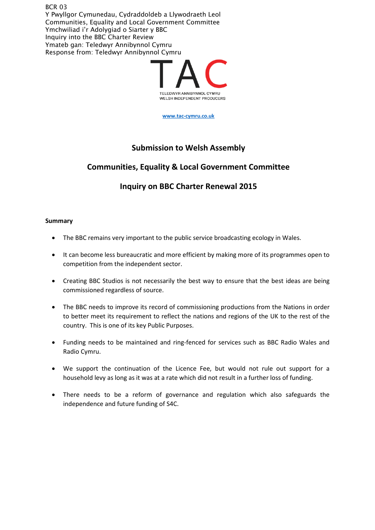BCR 03 Y Pwyllgor Cymunedau, Cydraddoldeb a Llywodraeth Leol Communities, Equality and Local Government Committee Ymchwiliad i'r Adolygiad o Siarter y BBC Inquiry into the BBC Charter Review Ymateb gan: Teledwyr Annibynnol Cymru Response from: Teledwyr Annibynnol Cymru



**[www.tac-cymru.co.uk](http://www.tac-cymru.co.uk/)**

## **Submission to Welsh Assembly**

# **Communities, Equality & Local Government Committee**

# **Inquiry on BBC Charter Renewal 2015**

## **Summary**

- The BBC remains very important to the public service broadcasting ecology in Wales.
- It can become less bureaucratic and more efficient by making more of its programmes open to competition from the independent sector.
- Creating BBC Studios is not necessarily the best way to ensure that the best ideas are being commissioned regardless of source.
- The BBC needs to improve its record of commissioning productions from the Nations in order to better meet its requirement to reflect the nations and regions of the UK to the rest of the country. This is one of its key Public Purposes.
- Funding needs to be maintained and ring-fenced for services such as BBC Radio Wales and Radio Cymru.
- We support the continuation of the Licence Fee, but would not rule out support for a household levy as long as it was at a rate which did not result in a further loss of funding.
- There needs to be a reform of governance and regulation which also safeguards the independence and future funding of S4C.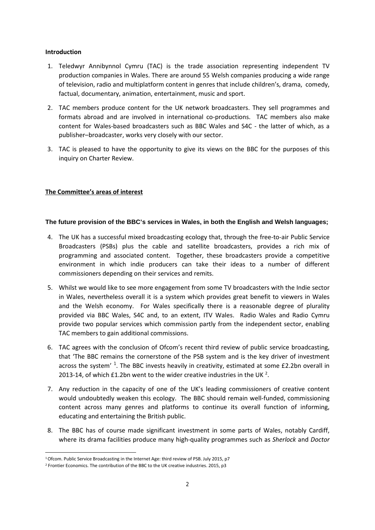#### **Introduction**

- 1. Teledwyr Annibynnol Cymru (TAC) is the trade association representing independent TV production companies in Wales. There are around 55 Welsh companies producing a wide range of television, radio and multiplatform content in genres that include children's, drama, comedy, factual, documentary, animation, entertainment, music and sport.
- 2. TAC members produce content for the UK network broadcasters. They sell programmes and formats abroad and are involved in international co-productions. TAC members also make content for Wales-based broadcasters such as BBC Wales and S4C - the latter of which, as a publisher–broadcaster, works very closely with our sector.
- 3. TAC is pleased to have the opportunity to give its views on the BBC for the purposes of this inquiry on Charter Review.

## **The Committee's areas of interest**

### **The future provision of the BBC's services in Wales, in both the English and Welsh languages;**

- 4. The UK has a successful mixed broadcasting ecology that, through the free-to-air Public Service Broadcasters (PSBs) plus the cable and satellite broadcasters, provides a rich mix of programming and associated content. Together, these broadcasters provide a competitive environment in which indie producers can take their ideas to a number of different commissioners depending on their services and remits.
- 5. Whilst we would like to see more engagement from some TV broadcasters with the Indie sector in Wales, nevertheless overall it is a system which provides great benefit to viewers in Wales and the Welsh economy. For Wales specifically there is a reasonable degree of plurality provided via BBC Wales, S4C and, to an extent, ITV Wales. Radio Wales and Radio Cymru provide two popular services which commission partly from the independent sector, enabling TAC members to gain additional commissions.
- 6. TAC agrees with the conclusion of Ofcom's recent third review of public service broadcasting, that 'The BBC remains the cornerstone of the PSB system and is the key driver of investment across the system' <sup>[1](#page-1-0)</sup>. The BBC invests heavily in creativity, estimated at some £2.2bn overall in [2](#page-1-1)013-14, of which £1.2bn went to the wider creative industries in the UK<sup>2</sup>.
- 7. Any reduction in the capacity of one of the UK's leading commissioners of creative content would undoubtedly weaken this ecology. The BBC should remain well-funded, commissioning content across many genres and platforms to continue its overall function of informing, educating and entertaining the British public.
- 8. The BBC has of course made significant investment in some parts of Wales, notably Cardiff, where its drama facilities produce many high-quality programmes such as *Sherlock* and *Doctor*

<span id="page-1-0"></span> <sup>1</sup>Ofcom. Public Service Broadcasting in the Internet Age: third review of PSB. July 2015, p7

<span id="page-1-1"></span><sup>&</sup>lt;sup>2</sup> Frontier Economics. The contribution of the BBC to the UK creative industries. 2015, p3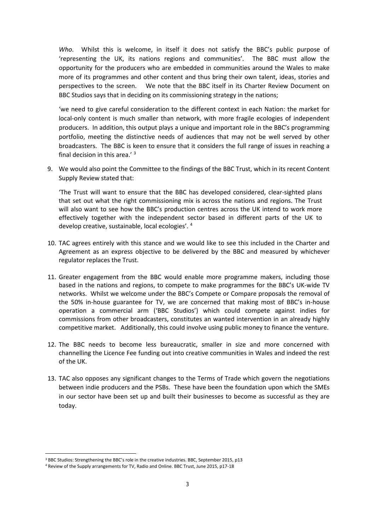*Who*. Whilst this is welcome, in itself it does not satisfy the BBC's public purpose of 'representing the UK, its nations regions and communities'. The BBC must allow the opportunity for the producers who are embedded in communities around the Wales to make more of its programmes and other content and thus bring their own talent, ideas, stories and perspectives to the screen. We note that the BBC itself in its Charter Review Document on BBC Studios says that in deciding on its commissioning strategy in the nations;

'we need to give careful consideration to the different context in each Nation: the market for local-only content is much smaller than network, with more fragile ecologies of independent producers. In addition, this output plays a unique and important role in the BBC's programming portfolio, meeting the distinctive needs of audiences that may not be well served by other broadcasters. The BBC is keen to ensure that it considers the full range of issues in reaching a final decision in this area.' <sup>[3](#page-2-0)</sup>

9. We would also point the Committee to the findings of the BBC Trust, which in its recent Content Supply Review stated that:

'The Trust will want to ensure that the BBC has developed considered, clear-sighted plans that set out what the right commissioning mix is across the nations and regions. The Trust will also want to see how the BBC's production centres across the UK intend to work more effectively together with the independent sector based in different parts of the UK to develop creative, sustainable, local ecologies'. [4](#page-2-1)

- 10. TAC agrees entirely with this stance and we would like to see this included in the Charter and Agreement as an express objective to be delivered by the BBC and measured by whichever regulator replaces the Trust.
- 11. Greater engagement from the BBC would enable more programme makers, including those based in the nations and regions, to compete to make programmes for the BBC's UK-wide TV networks. Whilst we welcome under the BBC's Compete or Compare proposals the removal of the 50% in-house guarantee for TV, we are concerned that making most of BBC's in-house operation a commercial arm ('BBC Studios') which could compete against indies for commissions from other broadcasters, constitutes an wanted intervention in an already highly competitive market. Additionally, this could involve using public money to finance the venture.
- 12. The BBC needs to become less bureaucratic, smaller in size and more concerned with channelling the Licence Fee funding out into creative communities in Wales and indeed the rest of the UK.
- 13. TAC also opposes any significant changes to the Terms of Trade which govern the negotiations between indie producers and the PSBs. These have been the foundation upon which the SMEs in our sector have been set up and built their businesses to become as successful as they are today.

<span id="page-2-0"></span> <sup>3</sup> BBC Studios: Strengthening the BBC's role in the creative industries. BBC, September 2015, p13

<span id="page-2-1"></span><sup>4</sup> Review of the Supply arrangements for TV, Radio and Online. BBC Trust, June 2015, p17-18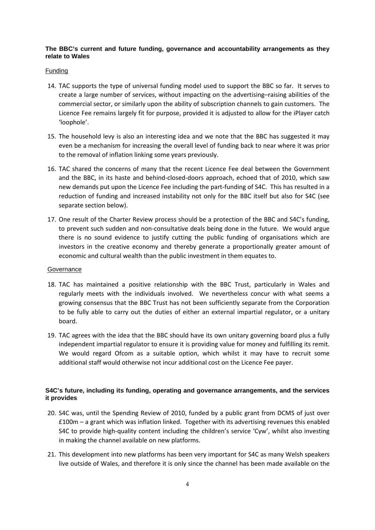## **The BBC's current and future funding, governance and accountability arrangements as they relate to Wales**

### **Funding**

- 14. TAC supports the type of universal funding model used to support the BBC so far. It serves to create a large number of services, without impacting on the advertising–raising abilities of the commercial sector, or similarly upon the ability of subscription channels to gain customers. The Licence Fee remains largely fit for purpose, provided it is adjusted to allow for the iPlayer catch 'loophole'.
- 15. The household levy is also an interesting idea and we note that the BBC has suggested it may even be a mechanism for increasing the overall level of funding back to near where it was prior to the removal of inflation linking some years previously.
- 16. TAC shared the concerns of many that the recent Licence Fee deal between the Government and the BBC, in its haste and behind-closed-doors approach, echoed that of 2010, which saw new demands put upon the Licence Fee including the part-funding of S4C. This has resulted in a reduction of funding and increased instability not only for the BBC itself but also for S4C (see separate section below).
- 17. One result of the Charter Review process should be a protection of the BBC and S4C's funding, to prevent such sudden and non-consultative deals being done in the future. We would argue there is no sound evidence to justify cutting the public funding of organisations which are investors in the creative economy and thereby generate a proportionally greater amount of economic and cultural wealth than the public investment in them equates to.

### **Governance**

- 18. TAC has maintained a positive relationship with the BBC Trust, particularly in Wales and regularly meets with the individuals involved. We nevertheless concur with what seems a growing consensus that the BBC Trust has not been sufficiently separate from the Corporation to be fully able to carry out the duties of either an external impartial regulator, or a unitary board.
- 19. TAC agrees with the idea that the BBC should have its own unitary governing board plus a fully independent impartial regulator to ensure it is providing value for money and fulfilling its remit. We would regard Ofcom as a suitable option, which whilst it may have to recruit some additional staff would otherwise not incur additional cost on the Licence Fee payer.

## **S4C's future, including its funding, operating and governance arrangements, and the services it provides**

- 20. S4C was, until the Spending Review of 2010, funded by a public grant from DCMS of just over £100m – a grant which was inflation linked. Together with its advertising revenues this enabled S4C to provide high-quality content including the children's service 'Cyw', whilst also investing in making the channel available on new platforms.
- 21. This development into new platforms has been very important for S4C as many Welsh speakers live outside of Wales, and therefore it is only since the channel has been made available on the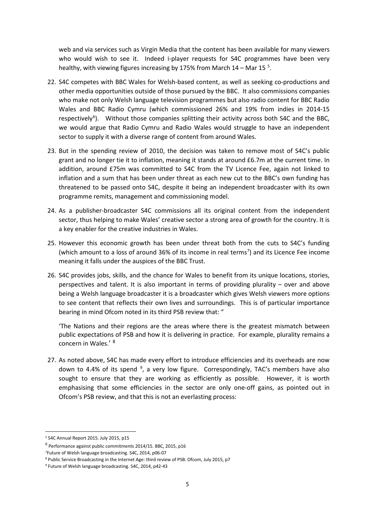web and via services such as Virgin Media that the content has been available for many viewers who would wish to see it. Indeed i-player requests for S4C programmes have been very healthy, with viewing figures increasing by 17[5](#page-4-0)% from March 14 – Mar 15  $5$ .

- 22. S4C competes with BBC Wales for Welsh-based content, as well as seeking co-productions and other media opportunities outside of those pursued by the BBC. It also commissions companies who make not only Welsh language television programmes but also radio content for BBC Radio Wales and BBC Radio Cymru (which commissioned 26% and 19% from indies in 2014-15 respectively<sup>[6](#page-4-1)</sup>). Without those companies splitting their activity across both S4C and the BBC, we would argue that Radio Cymru and Radio Wales would struggle to have an independent sector to supply it with a diverse range of content from around Wales.
- 23. But in the spending review of 2010, the decision was taken to remove most of S4C's public grant and no longer tie it to inflation, meaning it stands at around £6.7m at the current time. In addition, around £75m was committed to S4C from the TV Licence Fee, again not linked to inflation and a sum that has been under threat as each new cut to the BBC's own funding has threatened to be passed onto S4C, despite it being an independent broadcaster with its own programme remits, management and commissioning model.
- 24. As a publisher-broadcaster S4C commissions all its original content from the independent sector, thus helping to make Wales' creative sector a strong area of growth for the country. It is a key enabler for the creative industries in Wales.
- 25. However this economic growth has been under threat both from the cuts to S4C's funding (which amount to a loss of around 36% of its income in real terms<sup>[7](#page-4-2)</sup>) and its Licence Fee income meaning it falls under the auspices of the BBC Trust.
- 26. S4C provides jobs, skills, and the chance for Wales to benefit from its unique locations, stories, perspectives and talent. It is also important in terms of providing plurality – over and above being a Welsh language broadcaster it is a broadcaster which gives Welsh viewers more options to see content that reflects their own lives and surroundings. This is of particular importance bearing in mind Ofcom noted in its third PSB review that: "

'The Nations and their regions are the areas where there is the greatest mismatch between public expectations of PSB and how it is delivering in practice. For example, plurality remains a concern in Wales.' [8](#page-4-3)

27. As noted above, S4C has made every effort to introduce efficiencies and its overheads are now down to 4.4% of its spend <sup>[9](#page-4-4)</sup>, a very low figure. Correspondingly, TAC's members have also sought to ensure that they are working as efficiently as possible. However, it is worth emphasising that some efficiencies in the sector are only one-off gains, as pointed out in Ofcom's PSB review, and that this is not an everlasting process:

<span id="page-4-0"></span> <sup>5</sup> S4C Annual Report 2015. July 2015, p15

<span id="page-4-1"></span> $^6$  Performance against public commitments 2014/15. BBC, 2015, p16

<span id="page-4-2"></span><sup>7</sup> Future of Welsh language broadcasting. S4C, 2014, p06-07

<span id="page-4-3"></span><sup>8</sup> Public Service Broadcasting in the Internet Age: third review of PSB. Ofcom, July 2015, p7

<span id="page-4-4"></span><sup>9</sup> Future of Welsh language broadcasting. S4C, 2014, p42-43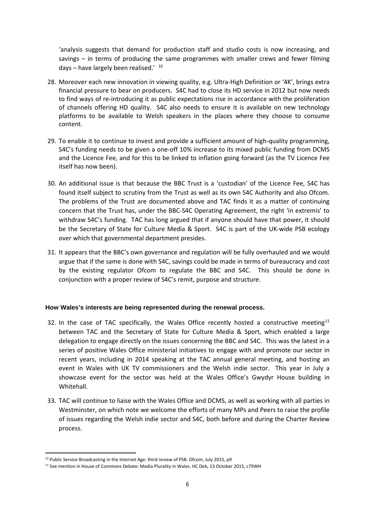'analysis suggests that demand for production staff and studio costs is now increasing, and savings – in terms of producing the same programmes with smaller crews and fewer filming days - have largely been realised.' [10](#page-5-0)

- 28. Moreover each new innovation in viewing quality, e.g. Ultra-High Definition or '4K', brings extra financial pressure to bear on producers. S4C had to close its HD service in 2012 but now needs to find ways of re-introducing it as public expectations rise in accordance with the proliferation of channels offering HD quality. S4C also needs to ensure it is available on new technology platforms to be available to Welsh speakers in the places where they choose to consume content.
- 29. To enable it to continue to invest and provide a sufficient amount of high-quality programming, S4C's funding needs to be given a one-off 10% increase to its mixed public funding from DCMS and the Licence Fee, and for this to be linked to inflation going forward (as the TV Licence Fee itself has now been).
- 30. An additional issue is that because the BBC Trust is a 'custodian' of the Licence Fee, S4C has found itself subject to scrutiny from the Trust as well as its own S4C Authority and also Ofcom. The problems of the Trust are documented above and TAC finds it as a matter of continuing concern that the Trust has, under the BBC-S4C Operating Agreement, the right 'in extremis' to withdraw S4C's funding. TAC has long argued that if anyone should have that power, it should be the Secretary of State for Culture Media & Sport. S4C is part of the UK-wide PSB ecology over which that governmental department presides.
- 31. It appears that the BBC's own governance and regulation will be fully overhauled and we would argue that if the same is done with S4C, savings could be made in terms of bureaucracy and cost by the existing regulator Ofcom to regulate the BBC and S4C. This should be done in conjunction with a proper review of S4C's remit, purpose and structure.

### **How Wales's interests are being represented during the renewal process.**

- 32. In the case of TAC specifically, the Wales Office recently hosted a constructive meeting<sup>[11](#page-5-1)</sup> between TAC and the Secretary of State for Culture Media & Sport, which enabled a large delegation to engage directly on the issues concerning the BBC and S4C. This was the latest in a series of positive Wales Office ministerial initiatives to engage with and promote our sector in recent years, including in 2014 speaking at the TAC annual general meeting, and hosting an event in Wales with UK TV commissioners and the Welsh indie sector. This year in July a showcase event for the sector was held at the Wales Office's Gwydyr House building in Whitehall.
- 33. TAC will continue to liaise with the Wales Office and DCMS, as well as working with all parties in Westminster, on which note we welcome the efforts of many MPs and Peers to raise the profile of issues regarding the Welsh indie sector and S4C, both before and during the Charter Review process.

<span id="page-5-0"></span><sup>&</sup>lt;sup>10</sup> Public Service Broadcasting in the Internet Age: third review of PSB, Ofcom, July 2015, p9

<span id="page-5-1"></span><sup>&</sup>lt;sup>11</sup> See mention in House of Commons Debate: Media Plurality in Wales. HC Deb, 13 October 2015, c79WH